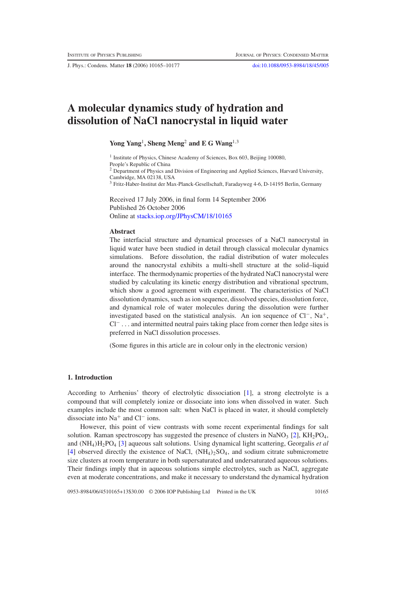J. Phys.: Condens. Matter **18** (2006) 10165–10177 [doi:10.1088/0953-8984/18/45/005](http://dx.doi.org/10.1088/0953-8984/18/45/005)

# **A molecular dynamics study of hydration and dissolution of NaCl nanocrystal in liquid water**

# **Yong Yang**<sup>1</sup>**, Sheng Meng**<sup>2</sup> **and E G Wang**<sup>1</sup>,<sup>3</sup>

<sup>1</sup> Institute of Physics, Chinese Academy of Sciences, Box 603, Beijing 100080, People's Republic of China

<sup>2</sup> Department of Physics and Division of Engineering and Applied Sciences, Harvard University, Cambridge, MA 02138, USA

<sup>3</sup> Fritz-Haber-Institut der Max-Planck-Gesellschaft, Faradayweg 4-6, D-14195 Berlin, Germany

Received 17 July 2006, in final form 14 September 2006 Published 26 October 2006 Online at [stacks.iop.org/JPhysCM/18/10165](http://stacks.iop.org/JPhysCM/18/10165)

#### **Abstract**

The interfacial structure and dynamical processes of a NaCl nanocrystal in liquid water have been studied in detail through classical molecular dynamics simulations. Before dissolution, the radial distribution of water molecules around the nanocrystal exhibits a multi-shell structure at the solid–liquid interface. The thermodynamic properties of the hydrated NaCl nanocrystal were studied by calculating its kinetic energy distribution and vibrational spectrum, which show a good agreement with experiment. The characteristics of NaCl dissolution dynamics, such as ion sequence, dissolved species, dissolution force, and dynamical role of water molecules during the dissolution were further investigated based on the statistical analysis. An ion sequence of  $Cl^-$ , Na<sup>+</sup>, Cl<sup>−</sup> ... and intermitted neutral pairs taking place from corner then ledge sites is preferred in NaCl dissolution processes.

(Some figures in this article are in colour only in the electronic version)

#### **1. Introduction**

According to Arrhenius' theory of electrolytic dissociation [\[1\]](#page-12-0), a strong electrolyte is a compound that will completely ionize or dissociate into ions when dissolved in water. Such examples include the most common salt: when NaCl is placed in water, it should completely dissociate into Na<sup>+</sup> and Cl<sup>−</sup> ions.

However, this point of view contrasts with some recent experimental findings for salt solution. Raman spectroscopy has suggested the presence of clusters in NaNO<sub>3</sub> [\[2\]](#page-12-1),  $KH_2PO_4$ , and (NH4)H2PO4 [\[3\]](#page-12-2) aqueous salt solutions. Using dynamical light scattering, Georgalis *et al* [\[4\]](#page-12-3) observed directly the existence of NaCl,  $(NH_4)_2SO_4$ , and sodium citrate submicrometre size clusters at room temperature in both supersaturated and undersaturated aqueous solutions. Their findings imply that in aqueous solutions simple electrolytes, such as NaCl, aggregate even at moderate concentrations, and make it necessary to understand the dynamical hydration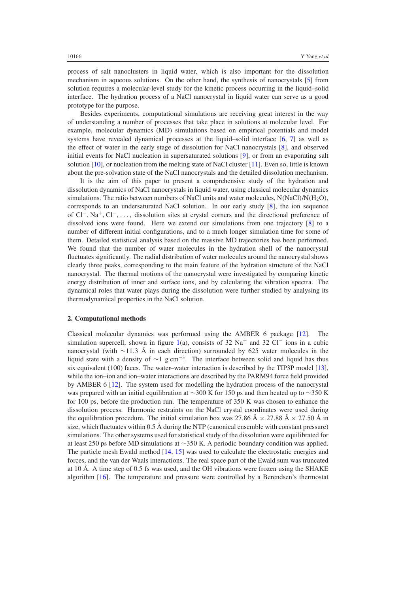process of salt nanoclusters in liquid water, which is also important for the dissolution mechanism in aqueous solutions. On the other hand, the synthesis of nanocrystals [\[5\]](#page-12-4) from solution requires a molecular-level study for the kinetic process occurring in the liquid–solid interface. The hydration process of a NaCl nanocrystal in liquid water can serve as a good prototype for the purpose.

Besides experiments, computational simulations are receiving great interest in the way of understanding a number of processes that take place in solutions at molecular level. For example, molecular dynamics (MD) simulations based on empirical potentials and model systems have revealed dynamical processes at the liquid–solid interface [\[6,](#page-12-5) [7\]](#page-12-6) as well as the effect of water in the early stage of dissolution for NaCl nanocrystals [\[8\]](#page-12-7), and observed initial events for NaCl nucleation in supersaturated solutions [\[9\]](#page-12-8), or from an evaporating salt solution  $[10]$ , or nucleation from the melting state of NaCl cluster  $[11]$ . Even so, little is known about the pre-solvation state of the NaCl nanocrystals and the detailed dissolution mechanism.

It is the aim of this paper to present a comprehensive study of the hydration and dissolution dynamics of NaCl nanocrystals in liquid water, using classical molecular dynamics simulations. The ratio between numbers of NaCl units and water molecules,  $N(NaCl)/N(H<sub>2</sub>O)$ , corresponds to an undersaturated NaCl solution. In our early study [\[8\]](#page-12-7), the ion sequence of Cl−, Na+,Cl−,..., dissolution sites at crystal corners and the directional preference of dissolved ions were found. Here we extend our simulations from one trajectory [\[8\]](#page-12-7) to a number of different initial configurations, and to a much longer simulation time for some of them. Detailed statistical analysis based on the massive MD trajectories has been performed. We found that the number of water molecules in the hydration shell of the nanocrystal fluctuates significantly. The radial distribution of water molecules around the nanocrystal shows clearly three peaks, corresponding to the main feature of the hydration structure of the NaCl nanocrystal. The thermal motions of the nanocrystal were investigated by comparing kinetic energy distribution of inner and surface ions, and by calculating the vibration spectra. The dynamical roles that water plays during the dissolution were further studied by analysing its thermodynamical properties in the NaCl solution.

## **2. Computational methods**

Classical molecular dynamics was performed using the AMBER 6 package [\[12\]](#page-12-11). The simulation supercell, shown in figure [1\(](#page-2-0)a), consists of 32 Na<sup>+</sup> and 32 Cl<sup>−</sup> ions in a cubic nanocrystal (with ∼11.3 Å in each direction) surrounded by 625 water molecules in the liquid state with a density of  $\sim$ 1 g cm<sup>-3</sup>. The interface between solid and liquid has thus six equivalent (100) faces. The water–water interaction is described by the TIP3P model [\[13\]](#page-12-12), while the ion–ion and ion–water interactions are described by the PARM94 force field provided by AMBER 6 [\[12\]](#page-12-11). The system used for modelling the hydration process of the nanocrystal was prepared with an initial equilibration at ∼300 K for 150 ps and then heated up to ∼350 K for 100 ps, before the production run. The temperature of 350 K was chosen to enhance the dissolution process. Harmonic restraints on the NaCl crystal coordinates were used during the equilibration procedure. The initial simulation box was 27.86  $\AA \times 27.88 \AA \times 27.50 \AA$  in size, which fluctuates within  $0.5 \text{ Å}$  during the NTP (canonical ensemble with constant pressure) simulations. The other systems used for statistical study of the dissolution were equilibrated for at least 250 ps before MD simulations at ∼350 K. A periodic boundary condition was applied. The particle mesh Ewald method [\[14,](#page-12-13) [15\]](#page-12-14) was used to calculate the electrostatic energies and forces, and the van der Waals interactions. The real space part of the Ewald sum was truncated at 10 Å. A time step of 0.5 fs was used, and the OH vibrations were frozen using the SHAKE algorithm [\[16\]](#page-12-15). The temperature and pressure were controlled by a Berendsen's thermostat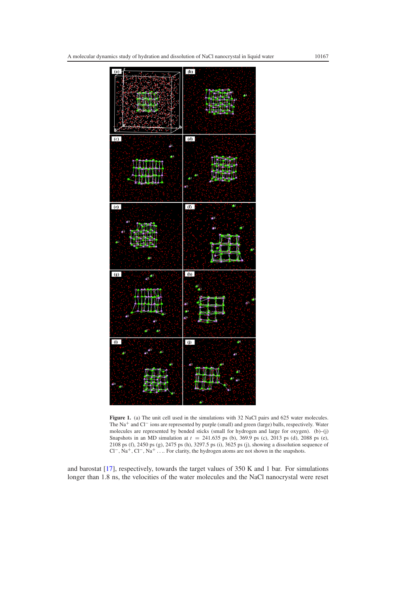<span id="page-2-0"></span>

**Figure 1.** (a) The unit cell used in the simulations with 32 NaCl pairs and 625 water molecules. The Na<sup>+</sup> and Cl<sup>−</sup> ions are represented by purple (small) and green (large) balls, respectively. Water molecules are represented by bended sticks (small for hydrogen and large for oxygen). (b)–(j) Snapshots in an MD simulation at *t* = 241.635 ps (b), 369.9 ps (c), 2013 ps (d), 2088 ps (e), 2108 ps (f), 2450 ps (g), 2475 ps (h), 3297.5 ps (i), 3625 ps (j), showing a dissolution sequence of Cl<sup>−</sup>, Na<sup>+</sup>, Cl<sup>−</sup>, Na<sup>+</sup> .... For clarity, the hydrogen atoms are not shown in the snapshots.

and barostat [\[17\]](#page-12-16), respectively, towards the target values of 350 K and 1 bar. For simulations longer than 1.8 ns, the velocities of the water molecules and the NaCl nanocrystal were reset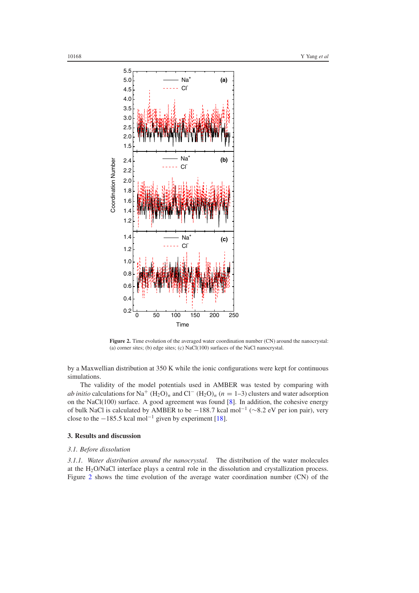<span id="page-3-0"></span>

**Figure 2.** Time evolution of the averaged water coordination number (CN) around the nanocrystal: (a) corner sites; (b) edge sites; (c) NaCl(100) surfaces of the NaCl nanocrystal.

by a Maxwellian distribution at 350 K while the ionic configurations were kept for continuous simulations.

The validity of the model potentials used in AMBER was tested by comparing with *ab initio* calculations for Na<sup>+</sup> (H<sub>2</sub>O)<sub>*n*</sub> and Cl<sup>−</sup> (H<sub>2</sub>O)<sub>*n*</sub> ( $n = 1-3$ ) clusters and water adsorption on the NaCl(100) surface. A good agreement was found [\[8\]](#page-12-7). In addition, the cohesive energy of bulk NaCl is calculated by AMBER to be −188.7 kcal mol<sup>-1</sup> ( $\sim$ 8.2 eV per ion pair), very close to the  $-185.5$  kcal mol<sup>-1</sup> given by experiment [\[18\]](#page-12-17).

## **3. Results and discussion**

#### *3.1. Before dissolution*

*3.1.1. Water distribution around the nanocrystal.* The distribution of the water molecules at the H2O/NaCl interface plays a central role in the dissolution and crystallization process. Figure [2](#page-3-0) shows the time evolution of the average water coordination number (CN) of the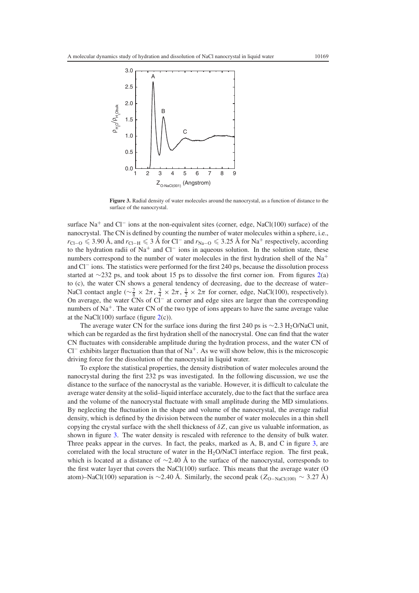<span id="page-4-0"></span>

**Figure 3.** Radial density of water molecules around the nanocrystal, as a function of distance to the surface of the nanocrystal.

surface Na<sup>+</sup> and Cl<sup>−</sup> ions at the non-equivalent sites (corner, edge, NaCl(100) surface) of the nanocrystal. The CN is defined by counting the number of water molecules within a sphere, i.e., *r*<sub>Cl−O</sub>  $\leq$  3.90 Å, and *r*<sub>Cl−H</sub>  $\leq$  3 Å for Cl<sup>−</sup> and *r*<sub>Na−O</sub>  $\leq$  3.25 Å for Na<sup>+</sup> respectively, according to the hydration radii of Na<sup>+</sup> and Cl<sup>−</sup> ions in aqueous solution. In the solution state, these numbers correspond to the number of water molecules in the first hydration shell of the  $Na<sup>+</sup>$ and Cl<sup>−</sup> ions. The statistics were performed for the first 240 ps, because the dissolution process started at ∼232 ps, and took about 15 ps to dissolve the first corner ion. From figures [2\(](#page-3-0)a) to (c), the water CN shows a general tendency of decreasing, due to the decrease of water– NaCl contact angle ( $\sim \frac{7}{8} \times 2\pi$ ,  $\frac{3}{4} \times 2\pi$ ,  $\frac{1}{2} \times 2\pi$  for corner, edge, NaCl(100), respectively). On average, the water CNs of Cl<sup>−</sup> at corner and edge sites are larger than the corresponding numbers of  $Na<sup>+</sup>$ . The water CN of the two type of ions appears to have the same average value at the NaCl(100) surface (figure  $2(c)$  $2(c)$ ).

The average water CN for the surface ions during the first 240 ps is ∼2.3 H<sub>2</sub>O/NaCl unit, which can be regarded as the first hydration shell of the nanocrystal. One can find that the water CN fluctuates with considerable amplitude during the hydration process, and the water CN of Cl<sup>−</sup> exhibits larger fluctuation than that of Na<sup>+</sup>. As we will show below, this is the microscopic driving force for the dissolution of the nanocrystal in liquid water.

To explore the statistical properties, the density distribution of water molecules around the nanocrystal during the first 232 ps was investigated. In the following discussion, we use the distance to the surface of the nanocrystal as the variable. However, it is difficult to calculate the average water density at the solid–liquid interface accurately, due to the fact that the surface area and the volume of the nanocrystal fluctuate with small amplitude during the MD simulations. By neglecting the fluctuation in the shape and volume of the nanocrystal, the average radial density, which is defined by the division between the number of water molecules in a thin shell copying the crystal surface with the shell thickness of  $\delta Z$ , can give us valuable information, as shown in figure [3.](#page-4-0) The water density is rescaled with reference to the density of bulk water. Three peaks appear in the curves. In fact, the peaks, marked as A, B, and C in figure [3,](#page-4-0) are correlated with the local structure of water in the  $H<sub>2</sub>$ O/NaCl interface region. The first peak, which is located at a distance of  $\sim$ 2.40 Å to the surface of the nanocrystal, corresponds to the first water layer that covers the NaCl(100) surface. This means that the average water (O atom)–NaCl(100) separation is ~2.40 Å. Similarly, the second peak  $(Z_{O-NaCl(100)} \sim 3.27$  Å)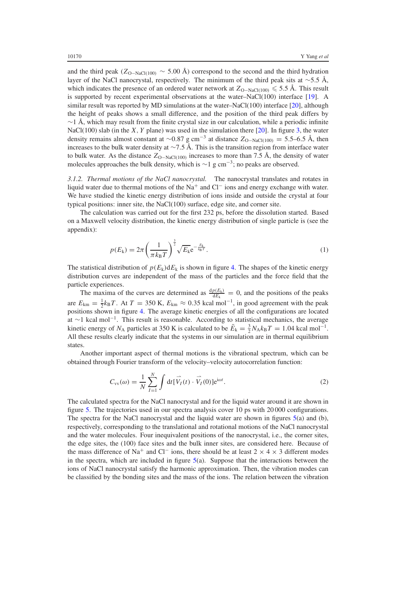and the third peak ( $Z_{\text{O}-\text{NaCl}(100)} \sim 5.00$  Å) correspond to the second and the third hydration layer of the NaCl nanocrystal, respectively. The minimum of the third peak sits at ∼5.5 A, ˚ which indicates the presence of an ordered water network at  $Z_{O-NaC(100)} \le 5.5$  Å. This result is supported by recent experimental observations at the water–NaCl(100) interface [\[19\]](#page-12-18). A similar result was reported by MD simulations at the water–NaCl(100) interface [\[20\]](#page-12-19), although the height of peaks shows a small difference, and the position of the third peak differs by  $∼1$  Å, which may result from the finite crystal size in our calculation, while a periodic infinite NaCl(100) slab (in the *X*, *Y* plane) was used in the simulation there [\[20\]](#page-12-19). In figure [3,](#page-4-0) the water density remains almost constant at  $\sim$ 0.87 g cm<sup>-3</sup> at distance  $Z_{\text{O-NaCl}(100)} = 5.5$ –6.5 Å, then increases to the bulk water density at  $\sim$ 7.5 Å. This is the transition region from interface water to bulk water. As the distance  $Z_{\text{O}-\text{NaCl}(100)}$  increases to more than 7.5 Å, the density of water molecules approaches the bulk density, which is  $\sim$ 1 g cm<sup>-3</sup>; no peaks are observed.

*3.1.2. Thermal motions of the NaCl nanocrystal.* The nanocrystal translates and rotates in liquid water due to thermal motions of the Na<sup>+</sup> and Cl<sup>−</sup> ions and energy exchange with water. We have studied the kinetic energy distribution of ions inside and outside the crystal at four typical positions: inner site, the NaCl(100) surface, edge site, and corner site.

The calculation was carried out for the first 232 ps, before the dissolution started. Based on a Maxwell velocity distribution, the kinetic energy distribution of single particle is (see the appendix):

$$
p(E_{k}) = 2\pi \left(\frac{1}{\pi k_{\rm B}T}\right)^{\frac{3}{2}} \sqrt{E_{k}} e^{-\frac{E_{k}}{k_{\rm B}T}}.
$$
\n(1)

The statistical distribution of  $p(E_k)dE_k$  is shown in figure [4.](#page-6-0) The shapes of the kinetic energy distribution curves are independent of the mass of the particles and the force field that the particle experiences.

The maxima of the curves are determined as  $\frac{dp(E_k)}{dE_k} = 0$ , and the positions of the peaks are  $E_{\text{km}} = \frac{1}{2} k_{\text{B}} T$ . At  $T = 350 \text{ K}$ ,  $E_{\text{km}} \approx 0.35 \text{ kcal mol}^{-1}$ , in good agreement with the peak positions shown in figure [4.](#page-6-0) The average kinetic energies of all the configurations are located at ∼1 kcal mol<sup>-1</sup>. This result is reasonable. According to statistical mechanics, the average kinetic energy of *N*<sub>A</sub> particles at 350 K is calculated to be  $\bar{E}_k = \frac{3}{2} N_A k_B T = 1.04$  kcal mol<sup>-1</sup>. All these results clearly indicate that the systems in our simulation are in thermal equilibrium states.

Another important aspect of thermal motions is the vibrational spectrum, which can be obtained through Fourier transform of the velocity–velocity autocorrelation function:

$$
C_{\text{vv}}(\omega) = \frac{1}{N} \sum_{I=1}^{N} \int dt [\vec{V}_I(t) \cdot \vec{V}_I(0)] e^{i\omega t}.
$$
 (2)

The calculated spectra for the NaCl nanocrystal and for the liquid water around it are shown in figure [5.](#page-7-0) The trajectories used in our spectra analysis cover 10 ps with 20 000 configurations. The spectra for the NaCl nanocrystal and the liquid water are shown in figures  $5(a)$  $5(a)$  and (b), respectively, corresponding to the translational and rotational motions of the NaCl nanocrystal and the water molecules. Four inequivalent positions of the nanocrystal, i.e., the corner sites, the edge sites, the (100) face sites and the bulk inner sites, are considered here. Because of the mass difference of Na<sup>+</sup> and Cl<sup>−</sup> ions, there should be at least  $2 \times 4 \times 3$  different modes in the spectra, which are included in figure  $5(a)$  $5(a)$ . Suppose that the interactions between the ions of NaCl nanocrystal satisfy the harmonic approximation. Then, the vibration modes can be classified by the bonding sites and the mass of the ions. The relation between the vibration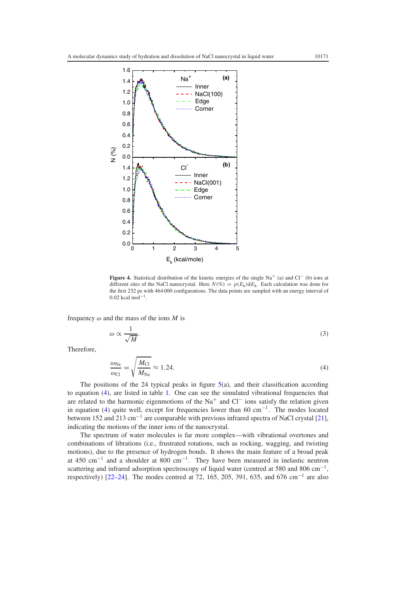<span id="page-6-0"></span>

**Figure 4.** Statistical distribution of the kinetic energies of the single Na<sup>+</sup> (a) and Cl<sup>−</sup> (b) ions at different sites of the NaCl nanocrystal. Here  $N(\%) = p(E_k) dE_k$ . Each calculation was done for the first 232 ps with 464 000 configurations. The data points are sampled with an energy interval of  $0.02$  kcal mol<sup>-1</sup>.

<span id="page-6-1"></span>frequency  $\omega$  and the mass of the ions *M* is

$$
\omega \propto \frac{1}{\sqrt{M}}.\tag{3}
$$

Therefore,

$$
\frac{\omega_{\text{Na}}}{\omega_{\text{Cl}}} = \sqrt{\frac{M_{\text{Cl}}}{M_{\text{Na}}}} \approx 1.24. \tag{4}
$$

The positions of the 24 typical peaks in figure  $5(a)$  $5(a)$ , and their classification according to equation [\(4\)](#page-6-1), are listed in table [1.](#page-7-1) One can see the simulated vibrational frequencies that are related to the harmonic eigenmotions of the Na<sup>+</sup> and Cl<sup>−</sup> ions satisfy the relation given in equation [\(4\)](#page-6-1) quite well, except for frequencies lower than 60 cm<sup>-1</sup>. The modes located between 152 and 213 cm−<sup>1</sup> are comparable with previous infrared spectra of NaCl crystal [\[21\]](#page-12-20), indicating the motions of the inner ions of the nanocrystal.

The spectrum of water molecules is far more complex—with vibrational overtones and combinations of librations (i.e., frustrated rotations, such as rocking, wagging, and twisting motions), due to the presence of hydrogen bonds. It shows the main feature of a broad peak at 450 cm<sup>-1</sup> and a shoulder at 800 cm<sup>-1</sup>. They have been measured in inelastic neutron scattering and infrared adsorption spectroscopy of liquid water (centred at 580 and 806 cm<sup>-1</sup>, respectively) [\[22–24\]](#page-12-21). The modes centred at 72, 165, 205, 391, 635, and 676 cm<sup>-1</sup> are also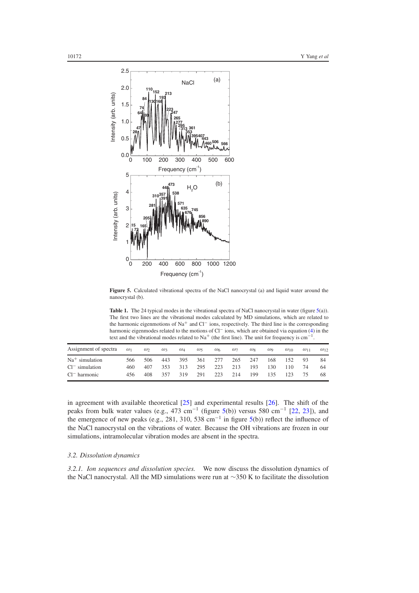<span id="page-7-0"></span>

<span id="page-7-1"></span>**Figure 5.** Calculated vibrational spectra of the NaCl nanocrystal (a) and liquid water around the nanocrystal (b).

**Table 1.** The 24 typical modes in the vibrational spectra of NaCl nanocrystal in water (figure [5\(](#page-7-0)a)). The first two lines are the vibrational modes calculated by MD simulations, which are related to the harmonic eigenmotions of Na<sup>+</sup> and Cl<sup>−</sup> ions, respectively. The third line is the corresponding harmonic eigenmodes related to the motions of Cl<sup>−</sup> ions, which are obtained via equation [\(4\)](#page-6-1) in the text and the vibrational modes related to Na<sup>+</sup> (the first line). The unit for frequency is  $cm^{-1}$ .

| Assignment of spectra | $\omega_1$ | $\omega_2$ | $\omega$ 3 | $\omega_4$ | $\omega_5$ | $\omega_6$ | $\omega_7$ | $\omega$ <sub>8</sub> | $\omega_9$ | $\omega_{10}$ | $\omega_{11}$ | $\omega$ 12 |
|-----------------------|------------|------------|------------|------------|------------|------------|------------|-----------------------|------------|---------------|---------------|-------------|
| $Na+$ simulation      | 566        | 506        | 443        | 395        | 361        | 277        | 265        | 247                   | 168        | 152           | 93            | 84          |
| $Cl^-$ simulation     | 460        | 407        | 353        | 313        | 295        | 223        | 213        | 193                   | 130        | 110           | 74            | 64          |
| $Cl^-$ harmonic       | 456        | 408        | 357        | 319        | 291        | 223        | 214        | 199                   | 135        | 123           | 75            | 68          |

in agreement with available theoretical [\[25\]](#page-12-22) and experimental results [\[26\]](#page-12-23). The shift of the peaks from bulk water values (e.g., 473 cm<sup>-1</sup> (figure [5\(](#page-7-0)b)) versus 580 cm<sup>-1</sup> [\[22,](#page-12-21) [23\]](#page-12-24)), and the emergence of new peaks (e.g., 281, 310, 538 cm<sup>-1</sup> in figure [5\(](#page-7-0)b)) reflect the influence of the NaCl nanocrystal on the vibrations of water. Because the OH vibrations are frozen in our simulations, intramolecular vibration modes are absent in the spectra.

## *3.2. Dissolution dynamics*

*3.2.1. Ion sequences and dissolution species.* We now discuss the dissolution dynamics of the NaCl nanocrystal. All the MD simulations were run at ∼350 K to facilitate the dissolution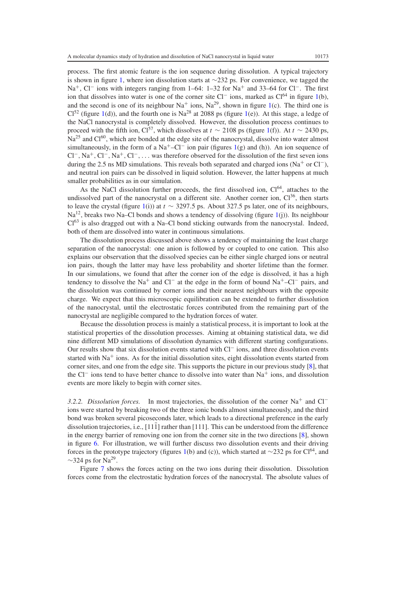process. The first atomic feature is the ion sequence during dissolution. A typical trajectory is shown in figure [1,](#page-2-0) where ion dissolution starts at ∼232 ps. For convenience, we tagged the Na+, Cl<sup>−</sup> ions with integers ranging from 1–64: 1–32 for Na<sup>+</sup> and 33–64 for Cl−. The first ion that dissolves into water is one of the corner site Cl<sup>−</sup> ions, marked as Cl<sup>64</sup> in figure [1\(](#page-2-0)b), and the second is one of its neighbour  $Na<sup>+</sup>$  ions,  $Na<sup>29</sup>$ , shown in figure [1\(](#page-2-0)c). The third one is  $Cl<sup>52</sup>$  (figure [1\(](#page-2-0)d)), and the fourth one is Na<sup>28</sup> at 2088 ps (figure 1(e)). At this stage, a ledge of the NaCl nanocrystal is completely dissolved. However, the dissolution process continues to proceed with the fifth ion, Cl<sup>57</sup>, which dissolves at  $t \sim 2108$  ps (figure [1\(](#page-2-0)f)). At  $t \sim 2430$  ps,  $Na<sup>25</sup>$  and  $Cl<sup>60</sup>$ , which are bonded at the edge site of the nanocrystal, dissolve into water almost simultaneously, in the form of a Na<sup>+</sup>–Cl<sup>-</sup> ion pair (figures [1\(](#page-2-0)g) and (h)). An ion sequence of  $Cl^-$ , Na<sup>+</sup>,  $Cl^-$ , Na<sup>+</sup>,  $Cl^-$ ,... was therefore observed for the dissolution of the first seven ions during the 2.5 ns MD simulations. This reveals both separated and charged ions (Na<sup>+</sup> or Cl<sup>−</sup>), and neutral ion pairs can be dissolved in liquid solution. However, the latter happens at much smaller probabilities as in our simulation.

As the NaCl dissolution further proceeds, the first dissolved ion,  $Cl<sup>64</sup>$ , attaches to the undissolved part of the nanocrystal on a different site. Another corner ion,  $Cl^{36}$ , then starts to leave the crystal (figure [1\(](#page-2-0)i)) at *t* ∼ 3297.5 ps. About 327.5 ps later, one of its neighbours, Na<sup>12</sup>, breaks two Na–Cl bonds and shows a tendency of dissolving (figure [1\(](#page-2-0)j)). Its neighbour  $Cl<sup>63</sup>$  is also dragged out with a Na–Cl bond sticking outwards from the nanocrystal. Indeed, both of them are dissolved into water in continuous simulations.

The dissolution process discussed above shows a tendency of maintaining the least charge separation of the nanocrystal: one anion is followed by or coupled to one cation. This also explains our observation that the dissolved species can be either single charged ions or neutral ion pairs, though the latter may have less probability and shorter lifetime than the former. In our simulations, we found that after the corner ion of the edge is dissolved, it has a high tendency to dissolve the Na<sup>+</sup> and Cl<sup>−</sup> at the edge in the form of bound Na<sup>+</sup>–Cl<sup>−</sup> pairs, and the dissolution was continued by corner ions and their nearest neighbours with the opposite charge. We expect that this microscopic equilibration can be extended to further dissolution of the nanocrystal, until the electrostatic forces contributed from the remaining part of the nanocrystal are negligible compared to the hydration forces of water.

Because the dissolution process is mainly a statistical process, it is important to look at the statistical properties of the dissolution processes. Aiming at obtaining statistical data, we did nine different MD simulations of dissolution dynamics with different starting configurations. Our results show that six dissolution events started with Cl<sup>−</sup> ions, and three dissolution events started with  $Na<sup>+</sup>$  ions. As for the initial dissolution sites, eight dissolution events started from corner sites, and one from the edge site. This supports the picture in our previous study [\[8\]](#page-12-7), that the Cl<sup>−</sup> ions tend to have better chance to dissolve into water than Na<sup>+</sup> ions, and dissolution events are more likely to begin with corner sites.

*3.2.2. Dissolution forces.* In most trajectories, the dissolution of the corner Na<sup>+</sup> and Cl<sup>−</sup> ions were started by breaking two of the three ionic bonds almost simultaneously, and the third bond was broken several picoseconds later, which leads to a directional preference in the early dissolution trajectories, i.e.,  $[111]$  rather than  $[111]$ . This can be understood from the difference in the energy barrier of removing one ion from the corner site in the two directions [\[8\]](#page-12-7), shown in figure [6.](#page-9-0) For illustration, we will further discuss two dissolution events and their driving forces in the prototype trajectory (figures [1\(](#page-2-0)b) and (c)), which started at ∼232 ps for Cl<sup>64</sup>, and  $\sim$ 324 ps for Na<sup>29</sup>.

Figure [7](#page-9-1) shows the forces acting on the two ions during their dissolution. Dissolution forces come from the electrostatic hydration forces of the nanocrystal. The absolute values of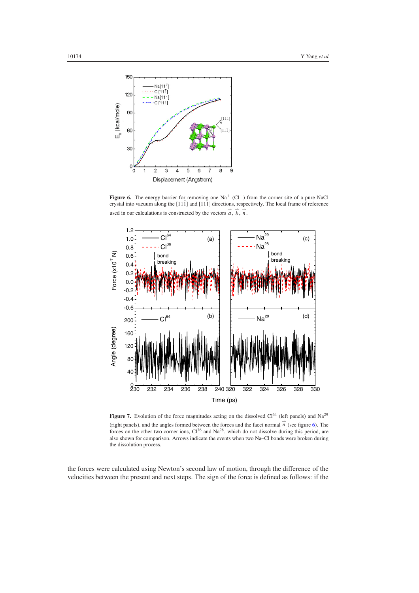<span id="page-9-0"></span>

**Figure 6.** The energy barrier for removing one Na<sup>+</sup> (Cl<sup>−</sup>) from the corner site of a pure NaCl crystal into vacuum along the [111] and [111] directions, respectively. The local frame of reference used in our calculations is constructed by the vectors  $\vec{a}$ ,  $\vec{b}$ ,  $\vec{n}$ .

<span id="page-9-1"></span>

Figure 7. Evolution of the force magnitudes acting on the dissolved Cl<sup>64</sup> (left panels) and Na<sup>29</sup> (right panels), and the angles formed between the forces and the facet normal  $\overrightarrow{n}$  (see figure [6\)](#page-9-0). The forces on the other two corner ions,  $Cl^{36}$  and  $Na^{28}$ , which do not dissolve during this period, are also shown for comparison. Arrows indicate the events when two Na–Cl bonds were broken during the dissolution process.

the forces were calculated using Newton's second law of motion, through the difference of the velocities between the present and next steps. The sign of the force is defined as follows: if the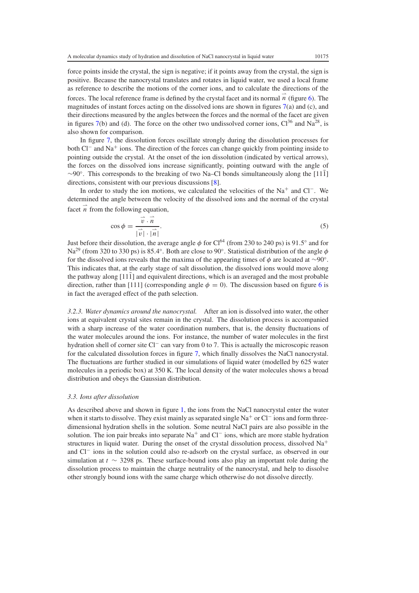force points inside the crystal, the sign is negative; if it points away from the crystal, the sign is positive. Because the nanocrystal translates and rotates in liquid water, we used a local frame as reference to describe the motions of the corner ions, and to calculate the directions of the forces. The local reference frame is defined by the crystal facet and its normal  $\hat{n}$  (figure [6\)](#page-9-0). The magnitudes of instant forces acting on the dissolved ions are shown in figures [7\(](#page-9-1)a) and (c), and their directions measured by the angles between the forces and the normal of the facet are given in figures [7\(](#page-9-1)b) and (d). The force on the other two undissolved corner ions,  $Cl^{36}$  and Na<sup>28</sup>, is also shown for comparison.

In figure [7,](#page-9-1) the dissolution forces oscillate strongly during the dissolution processes for both Cl<sup>−</sup> and Na<sup>+</sup> ions. The direction of the forces can change quickly from pointing inside to pointing outside the crystal. At the onset of the ion dissolution (indicated by vertical arrows), the forces on the dissolved ions increase significantly, pointing outward with the angle of  $\sim$ 90°. This corresponds to the breaking of two Na–Cl bonds simultaneously along the [11 $\overline{1}$ ] directions, consistent with our previous discussions [\[8\]](#page-12-7).

In order to study the ion motions, we calculated the velocities of the Na<sup>+</sup> and Cl−. We determined the angle between the velocity of the dissolved ions and the normal of the crystal facet  $\overrightarrow{n}$  from the following equation,

$$
\cos \phi = \frac{\vec{v} \cdot \vec{n}}{|\vec{v}| \cdot |\vec{n}|}.
$$
\n(5)

Just before their dissolution, the average angle  $\phi$  for Cl<sup>64</sup> (from 230 to 240 ps) is 91.5° and for Na<sup>29</sup> (from 320 to 330 ps) is 85.4°. Both are close to 90°. Statistical distribution of the angle  $\phi$ for the dissolved ions reveals that the maxima of the appearing times of  $\phi$  are located at ∼90°. This indicates that, at the early stage of salt dissolution, the dissolved ions would move along the pathway along  $[11\overline{1}]$  and equivalent directions, which is an averaged and the most probable direction, rather than [111] (corresponding angle  $\phi = 0$ ). The discussion based on figure [6](#page-9-0) is in fact the averaged effect of the path selection.

*3.2.3. Water dynamics around the nanocrystal.* After an ion is dissolved into water, the other ions at equivalent crystal sites remain in the crystal. The dissolution process is accompanied with a sharp increase of the water coordination numbers, that is, the density fluctuations of the water molecules around the ions. For instance, the number of water molecules in the first hydration shell of corner site Cl<sup>−</sup> can vary from 0 to 7. This is actually the microscopic reason for the calculated dissolution forces in figure [7,](#page-9-1) which finally dissolves the NaCl nanocrystal. The fluctuations are further studied in our simulations of liquid water (modelled by 625 water molecules in a periodic box) at 350 K. The local density of the water molecules shows a broad distribution and obeys the Gaussian distribution.

## *3.3. Ions after dissolution*

As described above and shown in figure [1,](#page-2-0) the ions from the NaCl nanocrystal enter the water when it starts to dissolve. They exist mainly as separated single Na<sup>+</sup> or Cl<sup>−</sup> ions and form threedimensional hydration shells in the solution. Some neutral NaCl pairs are also possible in the solution. The ion pair breaks into separate Na<sup>+</sup> and Cl<sup>−</sup> ions, which are more stable hydration structures in liquid water. During the onset of the crystal dissolution process, dissolved  $Na<sup>+</sup>$ and Cl<sup>−</sup> ions in the solution could also re-adsorb on the crystal surface, as observed in our simulation at *t* ∼ 3298 ps. These surface-bound ions also play an important role during the dissolution process to maintain the charge neutrality of the nanocrystal, and help to dissolve other strongly bound ions with the same charge which otherwise do not dissolve directly.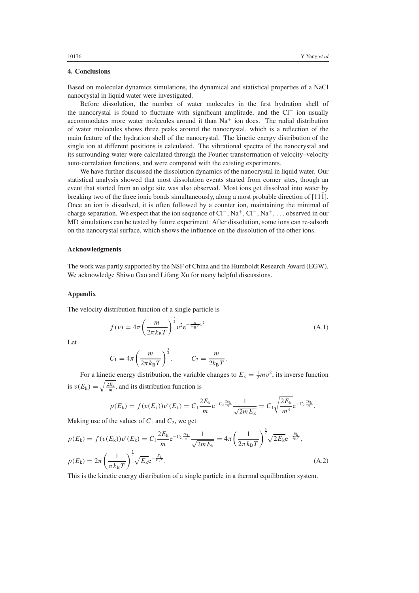#### **4. Conclusions**

Based on molecular dynamics simulations, the dynamical and statistical properties of a NaCl nanocrystal in liquid water were investigated.

Before dissolution, the number of water molecules in the first hydration shell of the nanocrystal is found to fluctuate with significant amplitude, and the Cl<sup>−</sup> ion usually accommodates more water molecules around it than  $Na<sup>+</sup>$  ion does. The radial distribution of water molecules shows three peaks around the nanocrystal, which is a reflection of the main feature of the hydration shell of the nanocrystal. The kinetic energy distribution of the single ion at different positions is calculated. The vibrational spectra of the nanocrystal and its surrounding water were calculated through the Fourier transformation of velocity–velocity auto-correlation functions, and were compared with the existing experiments.

We have further discussed the dissolution dynamics of the nanocrystal in liquid water. Our statistical analysis showed that most dissolution events started from corner sites, though an event that started from an edge site was also observed. Most ions get dissolved into water by breaking two of the three ionic bonds simultaneously, along a most probable direction of [111]. Once an ion is dissolved, it is often followed by a counter ion, maintaining the minimal of charge separation. We expect that the ion sequence of Cl<sup>−</sup>, Na<sup>+</sup>, Cl<sup>−</sup>, Na<sup>+</sup>,... observed in our MD simulations can be tested by future experiment. After dissolution, some ions can re-adsorb on the nanocrystal surface, which shows the influence on the dissolution of the other ions.

#### **Acknowledgments**

The work was partly supported by the NSF of China and the Humboldt Research Award (EGW). We acknowledge Shiwu Gao and Lifang Xu for many helpful discussions.

#### **Appendix**

The velocity distribution function of a single particle is

$$
f(v) = 4\pi \left(\frac{m}{2\pi k_{\rm B}T}\right)^{\frac{3}{2}} v^2 e^{-\frac{m}{2k_{\rm B}T}v^2}.
$$
 (A.1)

Let

$$
C_1 = 4\pi \left(\frac{m}{2\pi k_{\rm B}T}\right)^{\frac{3}{2}}, \qquad C_2 = \frac{m}{2k_{\rm B}T}.
$$

For a kinetic energy distribution, the variable changes to  $E_k = \frac{1}{2}mv^2$ , its inverse function is  $v(E_k) = \sqrt{\frac{2E_k}{m}}$ , and its distribution function is

$$
p(E_{k}) = f(v(E_{k}))v'(E_{k}) = C_{1}\frac{2E_{k}}{m}e^{-C_{2}\frac{2E_{k}}{m}}\frac{1}{\sqrt{2mE_{k}}} = C_{1}\sqrt{\frac{2E_{k}}{m^{3}}}e^{-C_{2}\frac{2E_{k}}{m}}.
$$

Making use of the values of  $C_1$  and  $C_2$ , we get

$$
p(E_k) = f(v(E_k))v'(E_k) = C_1 \frac{2E_k}{m} e^{-C_2 \frac{2E_k}{m}} \frac{1}{\sqrt{2mE_k}} = 4\pi \left(\frac{1}{2\pi k_B T}\right)^{\frac{3}{2}} \sqrt{2E_k} e^{-\frac{E_k}{k_B T}},
$$
  
\n
$$
p(E_k) = 2\pi \left(\frac{1}{\pi k_B T}\right)^{\frac{3}{2}} \sqrt{E_k} e^{-\frac{E_k}{k_B T}}.
$$
\n(A.2)

This is the kinetic energy distribution of a single particle in a thermal equilibration system.